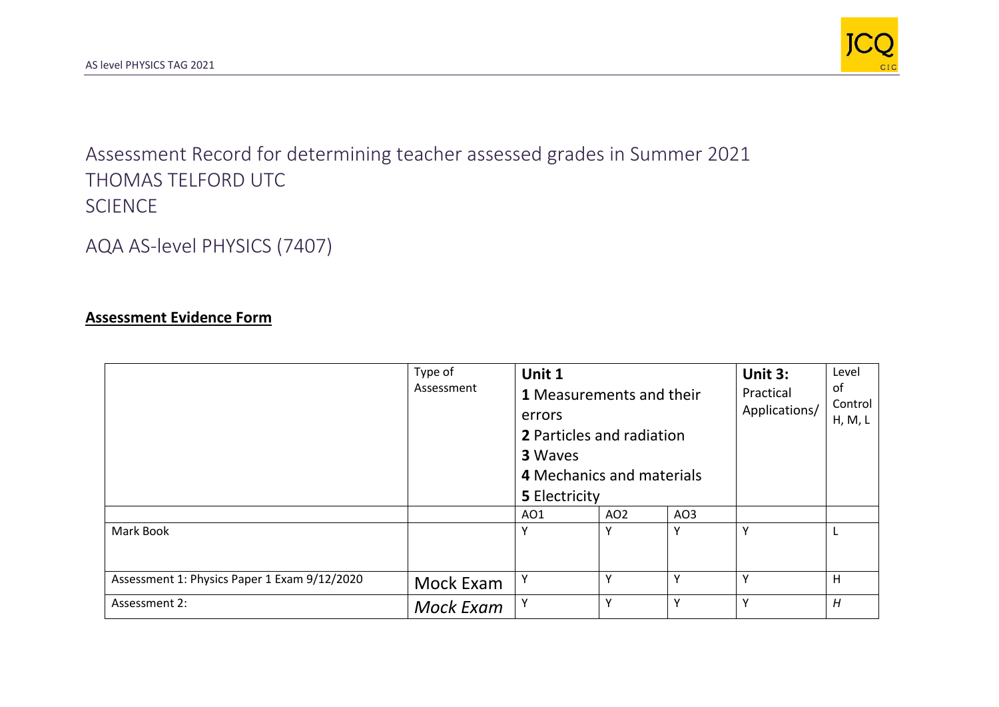

Assessment Record for determining teacher assessed grades in Summer 2021 THOMAS TELFORD UTC SCIENCE

AQA AS-level PHYSICS (7407)

## **Assessment Evidence Form**

|                                              | Type of<br>Assessment | Unit 1<br><b>1</b> Measurements and their<br>errors<br><b>2</b> Particles and radiation<br><b>3 Waves</b><br>4 Mechanics and materials<br><b>5 Electricity</b> |                 |     | Unit 3:<br>Practical<br>Applications/ | Level<br>of<br>Control<br>H, M, L |
|----------------------------------------------|-----------------------|----------------------------------------------------------------------------------------------------------------------------------------------------------------|-----------------|-----|---------------------------------------|-----------------------------------|
|                                              |                       | A01                                                                                                                                                            | AO <sub>2</sub> | AO3 |                                       |                                   |
| Mark Book                                    |                       | Υ                                                                                                                                                              | Υ               | v   | Y                                     |                                   |
| Assessment 1: Physics Paper 1 Exam 9/12/2020 | Mock Exam             | Y                                                                                                                                                              | Y               | v   | Y                                     | Н                                 |
| Assessment 2:                                | Mock Exam             | Y                                                                                                                                                              | Υ               | v   | Y                                     | H                                 |